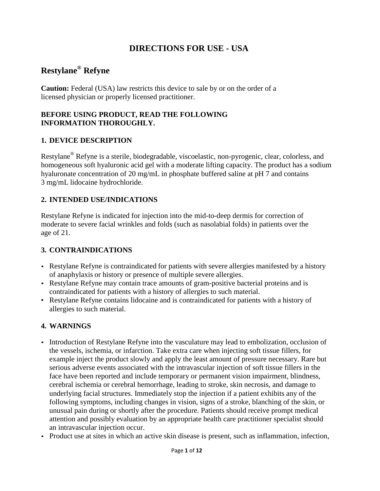# **DIRECTIONS FOR USE - USA**

# **Restylane® Refyne**

**Caution:** Federal (USA) law restricts this device to sale by or on the order of a licensed physician or properly licensed practitioner.

# **BEFORE USING PRODUCT, READ THE FOLLOWING INFORMATION THOROUGHLY.**

# **1. DEVICE DESCRIPTION**

Restylane® Refyne is a sterile, biodegradable, viscoelastic, non-pyrogenic, clear, colorless, and homogeneous soft hyaluronic acid gel with a moderate lifting capacity. The product has a sodium hyaluronate concentration of 20 mg/mL in phosphate buffered saline at pH 7 and contains 3 mg/mL lidocaine hydrochloride.

# **2. INTENDED USE/INDICATIONS**

Restylane Refyne is indicated for injection into the mid-to-deep dermis for correction of moderate to severe facial wrinkles and folds (such as nasolabial folds) in patients over the age of 21.

# **3. CONTRAINDICATIONS**

- Restylane Refyne is contraindicated for patients with severe allergies manifested by a history of anaphylaxis or history or presence of multiple severe allergies.
- Restylane Refyne may contain trace amounts of gram-positive bacterial proteins and is contraindicated for patients with a history of allergies to such material.
- Restylane Refyne contains lidocaine and is contraindicated for patients with a history of allergies to such material.

# **4. WARNINGS**

- Introduction of Restylane Refyne into the vasculature may lead to embolization, occlusion of the vessels, ischemia, or infarction. Take extra care when injecting soft tissue fillers, for example inject the product slowly and apply the least amount of pressure necessary. Rare but serious adverse events associated with the intravascular injection of soft tissue fillers in the face have been reported and include temporary or permanent vision impairment, blindness, cerebral ischemia or cerebral hemorrhage, leading to stroke, skin necrosis, and damage to underlying facial structures. Immediately stop the injection if a patient exhibits any of the following symptoms, including changes in vision, signs of a stroke, blanching of the skin, or unusual pain during or shortly after the procedure. Patients should receive prompt medical attention and possibly evaluation by an appropriate health care practitioner specialist should an intravascular injection occur.
- Product use at sites in which an active skin disease is present, such as inflammation, infection,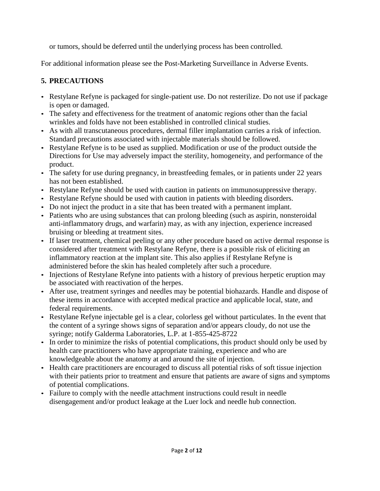or tumors, should be deferred until the underlying process has been controlled.

For additional information please see the Post-Marketing Surveillance in Adverse Events.

# **5. PRECAUTIONS**

- Restylane Refyne is packaged for single-patient use. Do not resterilize. Do not use if package is open or damaged.
- The safety and effectiveness for the treatment of anatomic regions other than the facial wrinkles and folds have not been established in controlled clinical studies.
- As with all transcutaneous procedures, dermal filler implantation carries a risk of infection. Standard precautions associated with injectable materials should be followed.
- Restylane Refyne is to be used as supplied. Modification or use of the product outside the Directions for Use may adversely impact the sterility, homogeneity, and performance of the product.
- The safety for use during pregnancy, in breastfeeding females, or in patients under 22 years has not been established.
- Restylane Refyne should be used with caution in patients on immunosuppressive therapy.
- Restylane Refyne should be used with caution in patients with bleeding disorders.
- Do not inject the product in a site that has been treated with a permanent implant.
- Patients who are using substances that can prolong bleeding (such as aspirin, nonsteroidal anti-inflammatory drugs, and warfarin) may, as with any injection, experience increased bruising or bleeding at treatment sites.
- If laser treatment, chemical peeling or any other procedure based on active dermal response is considered after treatment with Restylane Refyne, there is a possible risk of eliciting an inflammatory reaction at the implant site. This also applies if Restylane Refyne is administered before the skin has healed completely after such a procedure.
- Injections of Restylane Refyne into patients with a history of previous herpetic eruption may be associated with reactivation of the herpes.
- After use, treatment syringes and needles may be potential biohazards. Handle and dispose of these items in accordance with accepted medical practice and applicable local, state, and federal requirements.
- Restylane Refyne injectable gel is a clear, colorless gel without particulates. In the event that the content of a syringe shows signs of separation and/or appears cloudy, do not use the syringe; notify Galderma Laboratories, L.P. at 1-855-425-8722
- In order to minimize the risks of potential complications, this product should only be used by health care practitioners who have appropriate training, experience and who are knowledgeable about the anatomy at and around the site of injection.
- Health care practitioners are encouraged to discuss all potential risks of soft tissue injection with their patients prior to treatment and ensure that patients are aware of signs and symptoms of potential complications.
- Failure to comply with the needle attachment instructions could result in needle disengagement and/or product leakage at the Luer lock and needle hub connection.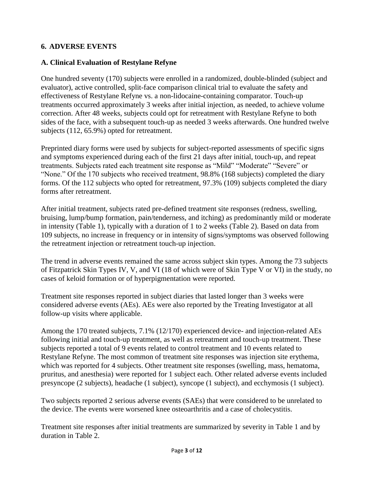# **6. ADVERSE EVENTS**

#### **A. Clinical Evaluation of Restylane Refyne**

One hundred seventy (170) subjects were enrolled in a randomized, double-blinded (subject and evaluator), active controlled, split-face comparison clinical trial to evaluate the safety and effectiveness of Restylane Refyne vs. a non-lidocaine-containing comparator. Touch-up treatments occurred approximately 3 weeks after initial injection, as needed, to achieve volume correction. After 48 weeks, subjects could opt for retreatment with Restylane Refyne to both sides of the face, with a subsequent touch-up as needed 3 weeks afterwards. One hundred twelve subjects (112, 65.9%) opted for retreatment.

Preprinted diary forms were used by subjects for subject-reported assessments of specific signs and symptoms experienced during each of the first 21 days after initial, touch-up, and repeat treatments. Subjects rated each treatment site response as "Mild" "Moderate" "Severe" or "None." Of the 170 subjects who received treatment, 98.8% (168 subjects) completed the diary forms. Of the 112 subjects who opted for retreatment, 97.3% (109) subjects completed the diary forms after retreatment.

After initial treatment, subjects rated pre-defined treatment site responses (redness, swelling, bruising, lump/bump formation, pain/tenderness, and itching) as predominantly mild or moderate in intensity (Table 1), typically with a duration of 1 to 2 weeks (Table 2). Based on data from 109 subjects, no increase in frequency or in intensity of signs/symptoms was observed following the retreatment injection or retreatment touch-up injection.

The trend in adverse events remained the same across subject skin types. Among the 73 subjects of Fitzpatrick Skin Types IV, V, and VI (18 of which were of Skin Type V or VI) in the study, no cases of keloid formation or of hyperpigmentation were reported.

Treatment site responses reported in subject diaries that lasted longer than 3 weeks were considered adverse events (AEs). AEs were also reported by the Treating Investigator at all follow-up visits where applicable.

Among the 170 treated subjects, 7.1% (12/170) experienced device- and injection-related AEs following initial and touch-up treatment, as well as retreatment and touch-up treatment. These subjects reported a total of 9 events related to control treatment and 10 events related to Restylane Refyne. The most common of treatment site responses was injection site erythema, which was reported for 4 subjects. Other treatment site responses (swelling, mass, hematoma, pruritus, and anesthesia) were reported for 1 subject each. Other related adverse events included presyncope (2 subjects), headache (1 subject), syncope (1 subject), and ecchymosis (1 subject).

Two subjects reported 2 serious adverse events (SAEs) that were considered to be unrelated to the device. The events were worsened knee osteoarthritis and a case of cholecystitis.

Treatment site responses after initial treatments are summarized by severity in Table 1 and by duration in Table 2.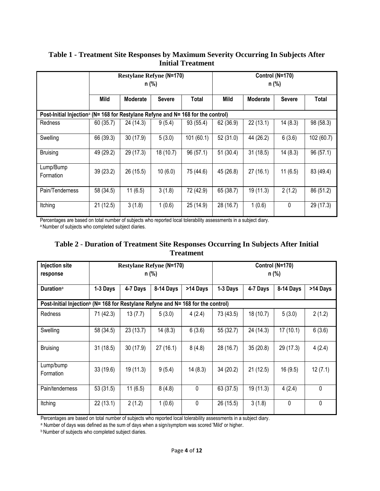|                                                                                              | <b>Restylane Refyne (N=170)</b><br>n (%) |                 |               | Control (N=170)<br>n (%) |             |                 |               |            |
|----------------------------------------------------------------------------------------------|------------------------------------------|-----------------|---------------|--------------------------|-------------|-----------------|---------------|------------|
|                                                                                              | Mild                                     | <b>Moderate</b> | <b>Severe</b> | Total                    | <b>Mild</b> | <b>Moderate</b> | <b>Severe</b> | Total      |
| Post-Initial Injection <sup>a</sup> (N= 168 for Restylane Refyne and N= 168 for the control) |                                          |                 |               |                          |             |                 |               |            |
| Redness                                                                                      | 60(35.7)                                 | 24 (14.3)       | 9(5.4)        | 93 (55.4)                | 62 (36.9)   | 22(13.1)        | 14(8.3)       | 98 (58.3)  |
| Swelling                                                                                     | 66 (39.3)                                | 30(17.9)        | 5(3.0)        | 101(60.1)                | 52 (31.0)   | 44 (26.2)       | 6(3.6)        | 102 (60.7) |
| <b>Bruising</b>                                                                              | 49 (29.2)                                | 29 (17.3)       | 18 (10.7)     | 96(57.1)                 | 51(30.4)    | 31(18.5)        | 14(8.3)       | 96(57.1)   |
| Lump/Bump<br>Formation                                                                       | 39 (23.2)                                | 26 (15.5)       | 10(6.0)       | 75 (44.6)                | 45 (26.8)   | 27(16.1)        | 11(6.5)       | 83 (49.4)  |
| Pain/Tenderness                                                                              | 58 (34.5)                                | 11(6.5)         | 3(1.8)        | 72 (42.9)                | 65 (38.7)   | 19(11.3)        | 2(1.2)        | 86 (51.2)  |
| Itching                                                                                      | 21(12.5)                                 | 3(1.8)          | 1(0.6)        | 25 (14.9)                | 28 (16.7)   | 1(0.6)          | 0             | 29 (17.3)  |

#### **Table 1 - Treatment Site Responses by Maximum Severity Occurring In Subjects After Initial Treatment**

Percentages are based on total number of subjects who reported local tolerability assessments in a subject diary.

a Number of subjects who completed subject diaries.

#### **Table 2** - **Duration of Treatment Site Responses Occurring In Subjects After Initial Treatment**

| <b>Injection site</b><br>response                                                            | <b>Restylane Refyne (N=170)</b><br>n (%) |           |           | Control (N=170)<br>n (%) |           |           |           |              |
|----------------------------------------------------------------------------------------------|------------------------------------------|-----------|-----------|--------------------------|-----------|-----------|-----------|--------------|
| <b>Duration</b> <sup>a</sup>                                                                 | 1-3 Days                                 | 4-7 Days  | 8-14 Days | >14 Days                 | 1-3 Days  | 4-7 Days  | 8-14 Days | >14 Days     |
| Post-Initial Injection <sup>b</sup> (N= 168 for Restylane Refyne and N= 168 for the control) |                                          |           |           |                          |           |           |           |              |
| Redness                                                                                      | 71 (42.3)                                | 13(7.7)   | 5(3.0)    | 4(2.4)                   | 73 (43.5) | 18 (10.7) | 5(3.0)    | 2(1.2)       |
| Swelling                                                                                     | 58 (34.5)                                | 23(13.7)  | 14(8.3)   | 6(3.6)                   | 55 (32.7) | 24 (14.3) | 17(10.1)  | 6(3.6)       |
| <b>Bruising</b>                                                                              | 31(18.5)                                 | 30(17.9)  | 27(16.1)  | 8(4.8)                   | 28 (16.7) | 35(20.8)  | 29 (17.3) | 4(2.4)       |
| Lump/bump<br>Formation                                                                       | 33(19.6)                                 | 19 (11.3) | 9(5.4)    | 14(8.3)                  | 34(20.2)  | 21(12.5)  | 16(9.5)   | 12(7.1)      |
| Pain/tenderness                                                                              | 53(31.5)                                 | 11(6.5)   | 8(4.8)    | $\mathbf 0$              | 63 (37.5) | 19 (11.3) | 4(2.4)    | $\mathbf 0$  |
| Itching                                                                                      | 22(13.1)                                 | 2(1.2)    | 1(0.6)    | 0                        | 26 (15.5) | 3(1.8)    | 0         | $\mathbf{0}$ |

Percentages are based on total number of subjects who reported local tolerability assessments in a subject diary.

a Number of days was defined as the sum of days when a sign/symptom was scored 'Mild' or higher.

**b Number of subjects who completed subject diaries.**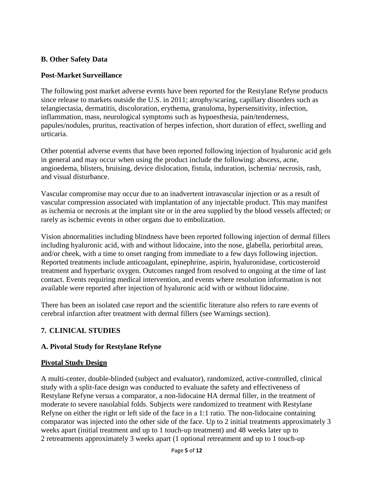# **B. Other Safety Data**

#### **Post-Market Surveillance**

The following post market adverse events have been reported for the Restylane Refyne products since release to markets outside the U.S. in 2011; atrophy/scaring, capillary disorders such as telangiectasia, dermatitis, discoloration, erythema, granuloma, hypersensitivity, infection, inflammation, mass, neurological symptoms such as hypoesthesia, pain/tenderness, papules/nodules, pruritus, reactivation of herpes infection, short duration of effect, swelling and urticaria.

Other potential adverse events that have been reported following injection of hyaluronic acid gels in general and may occur when using the product include the following: abscess, acne, angioedema, blisters, bruising, device dislocation, fistula, induration, ischemia/ necrosis, rash, and visual disturbance.

Vascular compromise may occur due to an inadvertent intravascular injection or as a result of vascular compression associated with implantation of any injectable product. This may manifest as ischemia or necrosis at the implant site or in the area supplied by the blood vessels affected; or rarely as ischemic events in other organs due to embolization.

Vision abnormalities including blindness have been reported following injection of dermal fillers including hyaluronic acid, with and without lidocaine, into the nose, glabella, periorbital areas, and/or cheek, with a time to onset ranging from immediate to a few days following injection. Reported treatments include anticoagulant, epinephrine, aspirin, hyaluronidase, corticosteroid treatment and hyperbaric oxygen. Outcomes ranged from resolved to ongoing at the time of last contact. Events requiring medical intervention, and events where resolution information is not available were reported after injection of hyaluronic acid with or without lidocaine.

There has been an isolated case report and the scientific literature also refers to rare events of cerebral infarction after treatment with dermal fillers (see Warnings section).

# **7. CLINICAL STUDIES**

# **A. Pivotal Study for Restylane Refyne**

#### **Pivotal Study Design**

A multi-center, double-blinded (subject and evaluator), randomized, active-controlled, clinical study with a split-face design was conducted to evaluate the safety and effectiveness of Restylane Refyne versus a comparator, a non-lidocaine HA dermal filler, in the treatment of moderate to severe nasolabial folds. Subjects were randomized to treatment with Restylane Refyne on either the right or left side of the face in a 1:1 ratio. The non-lidocaine containing comparator was injected into the other side of the face. Up to 2 initial treatments approximately 3 weeks apart (initial treatment and up to 1 touch-up treatment) and 48 weeks later up to 2 retreatments approximately 3 weeks apart (1 optional retreatment and up to 1 touch-up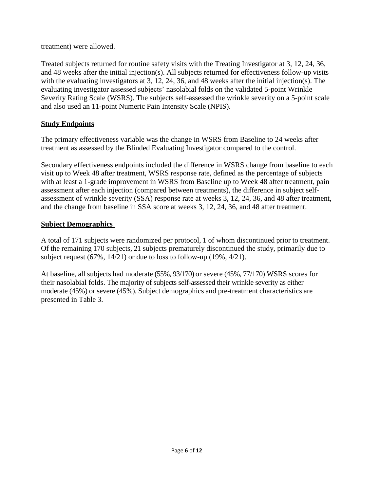treatment) were allowed.

Treated subjects returned for routine safety visits with the Treating Investigator at 3, 12, 24, 36, and 48 weeks after the initial injection(s). All subjects returned for effectiveness follow-up visits with the evaluating investigators at 3, 12, 24, 36, and 48 weeks after the initial injection(s). The evaluating investigator assessed subjects' nasolabial folds on the validated 5-point Wrinkle Severity Rating Scale (WSRS). The subjects self-assessed the wrinkle severity on a 5-point scale and also used an 11-point Numeric Pain Intensity Scale (NPIS).

# **Study Endpoints**

The primary effectiveness variable was the change in WSRS from Baseline to 24 weeks after treatment as assessed by the Blinded Evaluating Investigator compared to the control.

Secondary effectiveness endpoints included the difference in WSRS change from baseline to each visit up to Week 48 after treatment, WSRS response rate, defined as the percentage of subjects with at least a 1-grade improvement in WSRS from Baseline up to Week 48 after treatment, pain assessment after each injection (compared between treatments), the difference in subject selfassessment of wrinkle severity (SSA) response rate at weeks 3, 12, 24, 36, and 48 after treatment, and the change from baseline in SSA score at weeks 3, 12, 24, 36, and 48 after treatment.

# **Subject Demographics**

A total of 171 subjects were randomized per protocol, 1 of whom discontinued prior to treatment. Of the remaining 170 subjects, 21 subjects prematurely discontinued the study, primarily due to subject request  $(67\%, 14/21)$  or due to loss to follow-up  $(19\%, 4/21)$ .

At baseline, all subjects had moderate (55%, 93/170) or severe (45%, 77/170) WSRS scores for their nasolabial folds. The majority of subjects self-assessed their wrinkle severity as either moderate (45%) or severe (45%). Subject demographics and pre-treatment characteristics are presented in Table 3.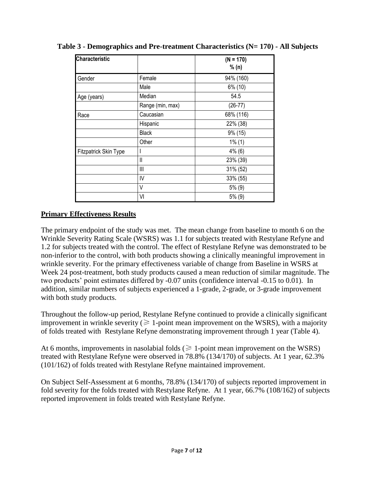| <b>Characteristic</b>        |                  | $(N = 170)$ |  |
|------------------------------|------------------|-------------|--|
|                              |                  | % (n)       |  |
| Gender                       | Female           | 94% (160)   |  |
|                              | Male             | 6% (10)     |  |
| Age (years)                  | Median           | 54.5        |  |
|                              | Range (min, max) | $(26-77)$   |  |
| Race                         | Caucasian        | 68% (116)   |  |
|                              | Hispanic         | 22% (38)    |  |
|                              | <b>Black</b>     | 9% (15)     |  |
|                              | Other            | $1\%$ (1)   |  |
| <b>Fitzpatrick Skin Type</b> |                  | $4\%$ (6)   |  |
|                              | $\mathbf{I}$     | 23% (39)    |  |
|                              | $\mathbf{III}$   | 31% (52)    |  |
|                              | IV               | 33% (55)    |  |
|                              | V                | $5\%$ (9)   |  |
|                              | VI               | $5\%$ (9)   |  |

**Table 3 - Demographics and Pre-treatment Characteristics (N= 170) - All Subjects**

# **Primary Effectiveness Results**

The primary endpoint of the study was met. The mean change from baseline to month 6 on the Wrinkle Severity Rating Scale (WSRS) was 1.1 for subjects treated with Restylane Refyne and 1.2 for subjects treated with the control. The effect of Restylane Refyne was demonstrated to be non-inferior to the control, with both products showing a clinically meaningful improvement in wrinkle severity. For the primary effectiveness variable of change from Baseline in WSRS at Week 24 post-treatment, both study products caused a mean reduction of similar magnitude. The two products' point estimates differed by -0.07 units (confidence interval -0.15 to 0.01). In addition, similar numbers of subjects experienced a 1-grade, 2-grade, or 3-grade improvement with both study products.

Throughout the follow-up period, Restylane Refyne continued to provide a clinically significant improvement in wrinkle severity ( $\geq 1$ -point mean improvement on the WSRS), with a majority of folds treated with Restylane Refyne demonstrating improvement through 1 year (Table 4).

At 6 months, improvements in nasolabial folds ( $\geq 1$ -point mean improvement on the WSRS) treated with Restylane Refyne were observed in 78.8% (134/170) of subjects. At 1 year, 62.3% (101/162) of folds treated with Restylane Refyne maintained improvement.

On Subject Self-Assessment at 6 months, 78.8% (134/170) of subjects reported improvement in fold severity for the folds treated with Restylane Refyne. At 1 year, 66.7% (108/162) of subjects reported improvement in folds treated with Restylane Refyne.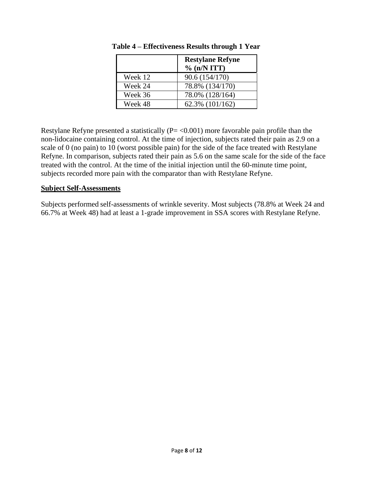|         | <b>Restylane Refyne</b><br>% (n/N ITT) |
|---------|----------------------------------------|
| Week 12 | 90.6 (154/170)                         |
| Week 24 | 78.8% (134/170)                        |
| Week 36 | 78.0% (128/164)                        |
| Week 48 | 62.3% (101/162)                        |

**Table 4 – Effectiveness Results through 1 Year**

Restylane Refyne presented a statistically  $(P = < 0.001)$  more favorable pain profile than the non-lidocaine containing control. At the time of injection, subjects rated their pain as 2.9 on a scale of 0 (no pain) to 10 (worst possible pain) for the side of the face treated with Restylane Refyne. In comparison, subjects rated their pain as 5.6 on the same scale for the side of the face treated with the control. At the time of the initial injection until the 60-minute time point, subjects recorded more pain with the comparator than with Restylane Refyne.

#### **Subject Self-Assessments**

Subjects performed self-assessments of wrinkle severity. Most subjects (78.8% at Week 24 and 66.7% at Week 48) had at least a 1-grade improvement in SSA scores with Restylane Refyne.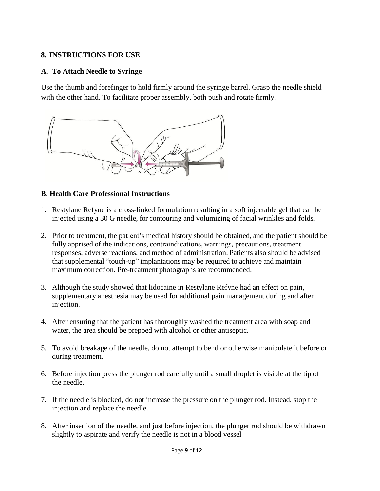# **8. INSTRUCTIONS FOR USE**

# **A. To Attach Needle to Syringe**

Use the thumb and forefinger to hold firmly around the syringe barrel. Grasp the needle shield with the other hand. To facilitate proper assembly, both push and rotate firmly.



#### **B. Health Care Professional Instructions**

- 1. Restylane Refyne is a cross-linked formulation resulting in a soft injectable gel that can be injected using a 30 G needle, for contouring and volumizing of facial wrinkles and folds.
- 2. Prior to treatment, the patient's medical history should be obtained, and the patient should be fully apprised of the indications, contraindications, warnings, precautions, treatment responses, adverse reactions, and method of administration. Patients also should be advised that supplemental "touch-up" implantations may be required to achieve and maintain maximum correction. Pre-treatment photographs are recommended.
- 3. Although the study showed that lidocaine in Restylane Refyne had an effect on pain, supplementary anesthesia may be used for additional pain management during and after injection.
- 4. After ensuring that the patient has thoroughly washed the treatment area with soap and water, the area should be prepped with alcohol or other antiseptic.
- 5. To avoid breakage of the needle, do not attempt to bend or otherwise manipulate it before or during treatment.
- 6. Before injection press the plunger rod carefully until a small droplet is visible at the tip of the needle.
- 7. If the needle is blocked, do not increase the pressure on the plunger rod. Instead, stop the injection and replace the needle.
- 8. After insertion of the needle, and just before injection, the plunger rod should be withdrawn slightly to aspirate and verify the needle is not in a blood vessel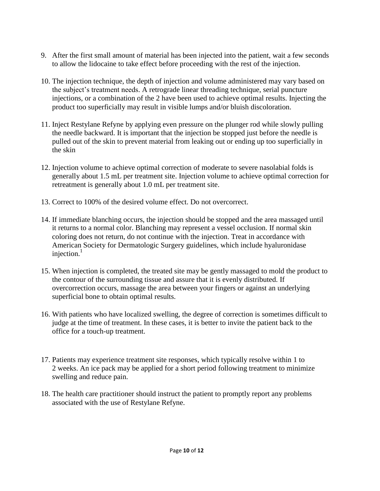- 9. After the first small amount of material has been injected into the patient, wait a few seconds to allow the lidocaine to take effect before proceeding with the rest of the injection.
- 10. The injection technique, the depth of injection and volume administered may vary based on the subject's treatment needs. A retrograde linear threading technique, serial puncture injections, or a combination of the 2 have been used to achieve optimal results. Injecting the product too superficially may result in visible lumps and/or bluish discoloration.
- 11. Inject Restylane Refyne by applying even pressure on the plunger rod while slowly pulling the needle backward. It is important that the injection be stopped just before the needle is pulled out of the skin to prevent material from leaking out or ending up too superficially in the skin
- 12. Injection volume to achieve optimal correction of moderate to severe nasolabial folds is generally about 1.5 mL per treatment site. Injection volume to achieve optimal correction for retreatment is generally about 1.0 mL per treatment site.
- 13. Correct to 100% of the desired volume effect. Do not overcorrect.
- 14. If immediate blanching occurs, the injection should be stopped and the area massaged until it returns to a normal color. Blanching may represent a vessel occlusion. If normal skin coloring does not return, do not continue with the injection. Treat in accordance with American Society for Dermatologic Surgery guidelines, which include hyaluronidase injection. $1$
- 15. When injection is completed, the treated site may be gently massaged to mold the product to the contour of the surrounding tissue and assure that it is evenly distributed. If overcorrection occurs, massage the area between your fingers or against an underlying superficial bone to obtain optimal results.
- 16. With patients who have localized swelling, the degree of correction is sometimes difficult to judge at the time of treatment. In these cases, it is better to invite the patient back to the office for a touch-up treatment.
- 17. Patients may experience treatment site responses, which typically resolve within 1 to 2 weeks. An ice pack may be applied for a short period following treatment to minimize swelling and reduce pain.
- 18. The health care practitioner should instruct the patient to promptly report any problems associated with the use of Restylane Refyne.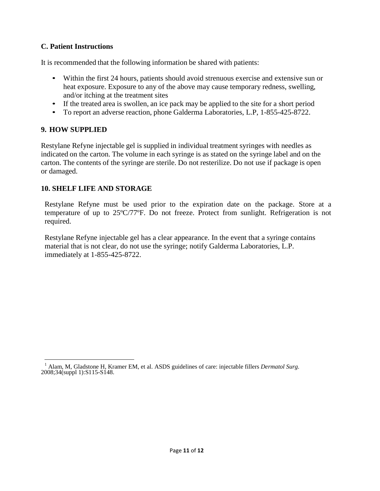# **C. Patient Instructions**

It is recommended that the following information be shared with patients:

- Within the first 24 hours, patients should avoid strenuous exercise and extensive sun or heat exposure. Exposure to any of the above may cause temporary redness, swelling, and/or itching at the treatment sites
- If the treated area is swollen, an ice pack may be applied to the site for a short period
- To report an adverse reaction, phone Galderma Laboratories, L.P, 1-855-425-8722.

# **9. HOW SUPPLIED**

Restylane Refyne injectable gel is supplied in individual treatment syringes with needles as indicated on the carton. The volume in each syringe is as stated on the syringe label and on the carton. The contents of the syringe are sterile. Do not resterilize. Do not use if package is open or damaged.

# **10. SHELF LIFE AND STORAGE**

Restylane Refyne must be used prior to the expiration date on the package*.* Store at a temperature of up to 25ºC/77ºF. Do not freeze. Protect from sunlight. Refrigeration is not required.

Restylane Refyne injectable gel has a clear appearance. In the event that a syringe contains material that is not clear, do not use the syringe; notify Galderma Laboratories, L.P. immediately at 1-855-425-8722.

<sup>1</sup> Alam, M, Gladstone H, Kramer EM, et al. ASDS guidelines of care: injectable fillers *Dermatol Surg.* 2008;34(suppl 1):S115-S148.